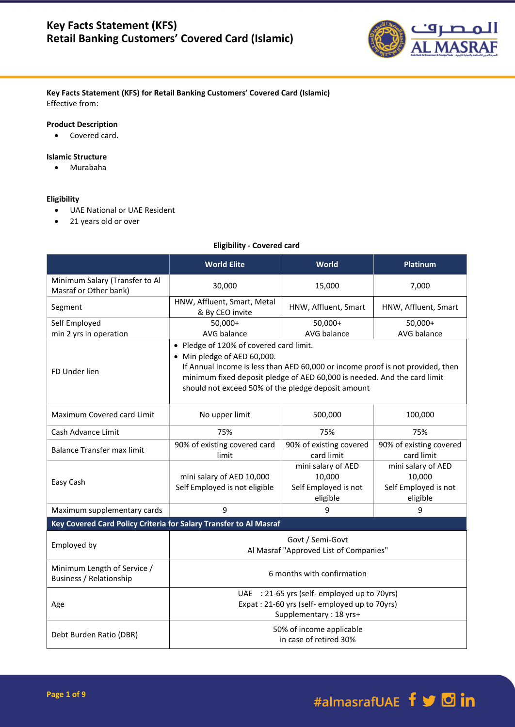

## **Key Facts Statement (KFS) for Retail Banking Customers' Covered Card (Islamic)** Effective from:

## **Product Description**

Covered card.

## **Islamic Structure**

Murabaha

#### **Eligibility**

- UAE National or UAE Resident
- 21 years old or over

## **Eligibility - Covered card**

|                                                                   | <b>World Elite</b>                                                                                                                                                                                                                                                                         | <b>World</b>                                                     | <b>Platinum</b>                                                  |  |
|-------------------------------------------------------------------|--------------------------------------------------------------------------------------------------------------------------------------------------------------------------------------------------------------------------------------------------------------------------------------------|------------------------------------------------------------------|------------------------------------------------------------------|--|
| Minimum Salary (Transfer to Al<br>Masraf or Other bank)           | 30,000                                                                                                                                                                                                                                                                                     | 15,000                                                           | 7,000                                                            |  |
| Segment                                                           | HNW, Affluent, Smart, Metal<br>& By CEO invite                                                                                                                                                                                                                                             | HNW, Affluent, Smart                                             | HNW, Affluent, Smart                                             |  |
| Self Employed<br>min 2 yrs in operation                           | 50,000+<br>AVG balance                                                                                                                                                                                                                                                                     | 50,000+<br>AVG balance                                           | $50,000+$<br>AVG balance                                         |  |
| FD Under lien                                                     | • Pledge of 120% of covered card limit.<br>• Min pledge of AED 60,000.<br>If Annual Income is less than AED 60,000 or income proof is not provided, then<br>minimum fixed deposit pledge of AED 60,000 is needed. And the card limit<br>should not exceed 50% of the pledge deposit amount |                                                                  |                                                                  |  |
| Maximum Covered card Limit                                        | No upper limit                                                                                                                                                                                                                                                                             | 500,000                                                          | 100,000                                                          |  |
| Cash Advance Limit                                                | 75%                                                                                                                                                                                                                                                                                        | 75%                                                              | 75%                                                              |  |
| <b>Balance Transfer max limit</b>                                 | 90% of existing covered card<br>limit                                                                                                                                                                                                                                                      | 90% of existing covered<br>card limit                            | 90% of existing covered<br>card limit                            |  |
| Easy Cash                                                         | mini salary of AED 10,000<br>Self Employed is not eligible                                                                                                                                                                                                                                 | mini salary of AED<br>10,000<br>Self Employed is not<br>eligible | mini salary of AED<br>10,000<br>Self Employed is not<br>eligible |  |
| Maximum supplementary cards                                       | 9                                                                                                                                                                                                                                                                                          | 9                                                                | 9                                                                |  |
| Key Covered Card Policy Criteria for Salary Transfer to Al Masraf |                                                                                                                                                                                                                                                                                            |                                                                  |                                                                  |  |
| Employed by                                                       | Govt / Semi-Govt<br>Al Masraf "Approved List of Companies"                                                                                                                                                                                                                                 |                                                                  |                                                                  |  |
| Minimum Length of Service /<br><b>Business / Relationship</b>     | 6 months with confirmation                                                                                                                                                                                                                                                                 |                                                                  |                                                                  |  |
| Age                                                               | UAE : 21-65 yrs (self-employed up to 70yrs)<br>Expat: 21-60 yrs (self-employed up to 70yrs)<br>Supplementary: 18 yrs+                                                                                                                                                                      |                                                                  |                                                                  |  |
| Debt Burden Ratio (DBR)                                           | 50% of income applicable<br>in case of retired 30%                                                                                                                                                                                                                                         |                                                                  |                                                                  |  |

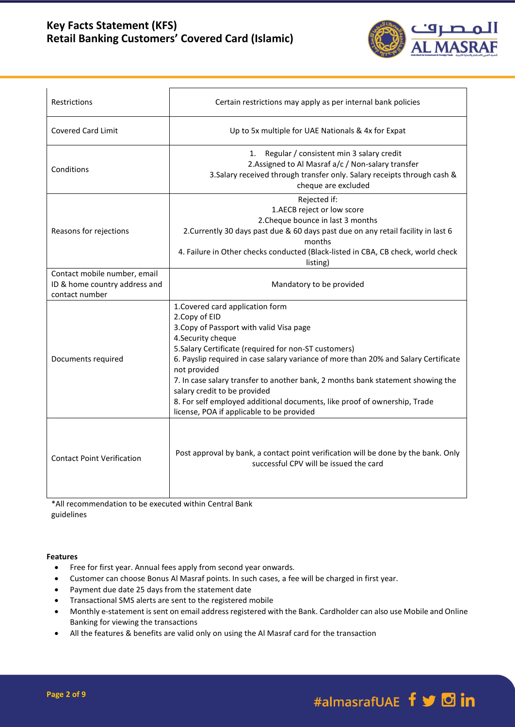## **Key Facts Statement (KFS) Retail Banking Customers' Covered Card (Islamic)**



| Restrictions                                                                    | Certain restrictions may apply as per internal bank policies                                                                                                                                                                                                                                                                                                                                                                                                                                                                     |  |  |
|---------------------------------------------------------------------------------|----------------------------------------------------------------------------------------------------------------------------------------------------------------------------------------------------------------------------------------------------------------------------------------------------------------------------------------------------------------------------------------------------------------------------------------------------------------------------------------------------------------------------------|--|--|
| <b>Covered Card Limit</b>                                                       | Up to 5x multiple for UAE Nationals & 4x for Expat                                                                                                                                                                                                                                                                                                                                                                                                                                                                               |  |  |
| Conditions                                                                      | Regular / consistent min 3 salary credit<br>1.<br>2.Assigned to Al Masraf a/c / Non-salary transfer<br>3. Salary received through transfer only. Salary receipts through cash &<br>cheque are excluded                                                                                                                                                                                                                                                                                                                           |  |  |
| Reasons for rejections                                                          | Rejected if:<br>1.AECB reject or low score<br>2. Cheque bounce in last 3 months<br>2. Currently 30 days past due & 60 days past due on any retail facility in last 6<br>months<br>4. Failure in Other checks conducted (Black-listed in CBA, CB check, world check<br>listing)                                                                                                                                                                                                                                                   |  |  |
| Contact mobile number, email<br>ID & home country address and<br>contact number | Mandatory to be provided                                                                                                                                                                                                                                                                                                                                                                                                                                                                                                         |  |  |
| Documents required                                                              | 1. Covered card application form<br>2. Copy of EID<br>3. Copy of Passport with valid Visa page<br>4. Security cheque<br>5.Salary Certificate (required for non-ST customers)<br>6. Payslip required in case salary variance of more than 20% and Salary Certificate<br>not provided<br>7. In case salary transfer to another bank, 2 months bank statement showing the<br>salary credit to be provided<br>8. For self employed additional documents, like proof of ownership, Trade<br>license, POA if applicable to be provided |  |  |
| <b>Contact Point Verification</b>                                               | Post approval by bank, a contact point verification will be done by the bank. Only<br>successful CPV will be issued the card                                                                                                                                                                                                                                                                                                                                                                                                     |  |  |
| *All recommendation to be evecuted within Central Rank                          |                                                                                                                                                                                                                                                                                                                                                                                                                                                                                                                                  |  |  |

\*All recommendation to be executed within Central Bank guidelines

## **Features**

- Free for first year. Annual fees apply from second year onwards.
- Customer can choose Bonus Al Masraf points. In such cases, a fee will be charged in first year.
- Payment due date 25 days from the statement date
- Transactional SMS alerts are sent to the registered mobile
- Monthly e-statement is sent on email address registered with the Bank. Cardholder can also use Mobile and Online Banking for viewing the transactions
- All the features & benefits are valid only on using the Al Masraf card for the transaction

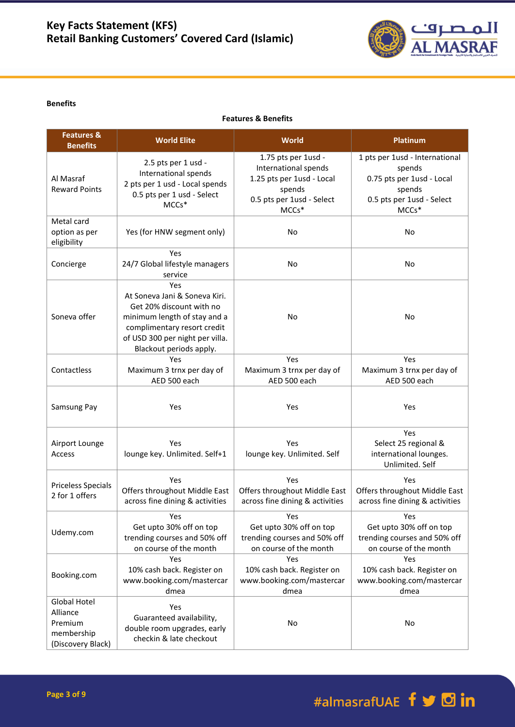

#### **Benefits**

**Features & Benefits**

| <b>Features &amp;</b><br><b>Benefits</b>                               | <b>World Elite</b>                                                                                                                                                                            | World                                                                                                                    | <b>Platinum</b>                                                                                                       |
|------------------------------------------------------------------------|-----------------------------------------------------------------------------------------------------------------------------------------------------------------------------------------------|--------------------------------------------------------------------------------------------------------------------------|-----------------------------------------------------------------------------------------------------------------------|
| Al Masraf<br><b>Reward Points</b>                                      | 2.5 pts per 1 usd -<br>International spends<br>2 pts per 1 usd - Local spends<br>0.5 pts per 1 usd - Select<br>MCCs*                                                                          | 1.75 pts per 1usd -<br>International spends<br>1.25 pts per 1usd - Local<br>spends<br>0.5 pts per 1usd - Select<br>MCCs* | 1 pts per 1usd - International<br>spends<br>0.75 pts per 1usd - Local<br>spends<br>0.5 pts per 1usd - Select<br>MCCs* |
| Metal card<br>option as per<br>eligibility                             | Yes (for HNW segment only)                                                                                                                                                                    | No                                                                                                                       | No                                                                                                                    |
| Concierge                                                              | Yes<br>24/7 Global lifestyle managers<br>service                                                                                                                                              | No                                                                                                                       | No                                                                                                                    |
| Soneva offer                                                           | Yes<br>At Soneva Jani & Soneva Kiri.<br>Get 20% discount with no<br>minimum length of stay and a<br>complimentary resort credit<br>of USD 300 per night per villa.<br>Blackout periods apply. | No                                                                                                                       | No                                                                                                                    |
| Contactless                                                            | Yes<br>Maximum 3 trnx per day of<br>AED 500 each                                                                                                                                              | Yes<br>Maximum 3 trnx per day of<br>AED 500 each                                                                         | Yes<br>Maximum 3 trnx per day of<br>AED 500 each                                                                      |
| Samsung Pay                                                            | Yes                                                                                                                                                                                           | Yes                                                                                                                      | Yes                                                                                                                   |
| Airport Lounge<br>Access                                               | Yes<br>lounge key. Unlimited. Self+1                                                                                                                                                          | Yes<br>lounge key. Unlimited. Self                                                                                       | Yes<br>Select 25 regional &<br>international lounges.<br>Unlimited. Self                                              |
| <b>Priceless Specials</b><br>2 for 1 offers                            | Yes<br>Offers throughout Middle East<br>across fine dining & activities                                                                                                                       | Yes<br>Offers throughout Middle East<br>across fine dining & activities                                                  | Yes<br>Offers throughout Middle East<br>across fine dining & activities                                               |
| Udemy.com                                                              | Yes<br>Get upto 30% off on top<br>trending courses and 50% off<br>on course of the month                                                                                                      | Yes<br>Get upto 30% off on top<br>trending courses and 50% off<br>on course of the month                                 | Yes<br>Get upto 30% off on top<br>trending courses and 50% off<br>on course of the month                              |
| Booking.com                                                            | Yes<br>10% cash back. Register on<br>www.booking.com/mastercar<br>dmea                                                                                                                        | Yes<br>10% cash back. Register on<br>www.booking.com/mastercar<br>dmea                                                   | Yes<br>10% cash back. Register on<br>www.booking.com/mastercar<br>dmea                                                |
| Global Hotel<br>Alliance<br>Premium<br>membership<br>(Discovery Black) | Yes<br>Guaranteed availability,<br>double room upgrades, early<br>checkin & late checkout                                                                                                     | No                                                                                                                       | No                                                                                                                    |

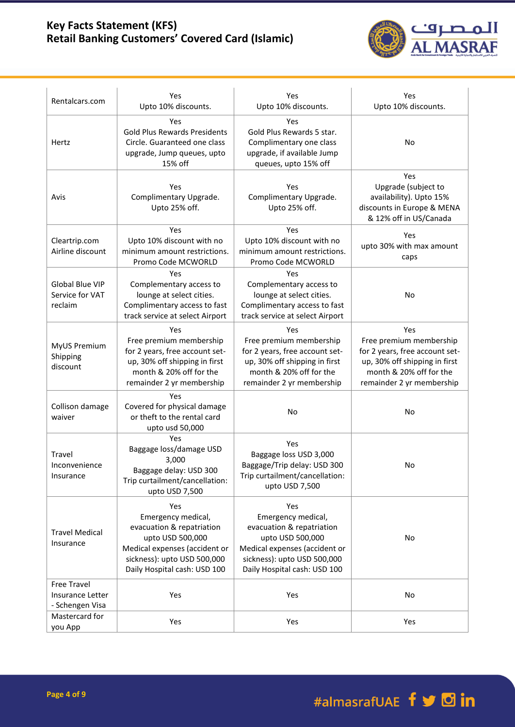# **Key Facts Statement (KFS) Retail Banking Customers' Covered Card (Islamic)**



| Rentalcars.com                                            | Yes                                                                                                                                                                        | Yes                                                                                                                                                                        | Yes                                                                                                                                                       |
|-----------------------------------------------------------|----------------------------------------------------------------------------------------------------------------------------------------------------------------------------|----------------------------------------------------------------------------------------------------------------------------------------------------------------------------|-----------------------------------------------------------------------------------------------------------------------------------------------------------|
|                                                           | Upto 10% discounts.                                                                                                                                                        | Upto 10% discounts.                                                                                                                                                        | Upto 10% discounts.                                                                                                                                       |
| Hertz                                                     | Yes<br><b>Gold Plus Rewards Presidents</b><br>Circle. Guaranteed one class<br>upgrade, Jump queues, upto<br>15% off                                                        | Yes<br>Gold Plus Rewards 5 star.<br>Complimentary one class<br>upgrade, if available Jump<br>queues, upto 15% off                                                          | No                                                                                                                                                        |
| Avis                                                      | Yes<br>Complimentary Upgrade.<br>Upto 25% off.                                                                                                                             | Yes<br>Complimentary Upgrade.<br>Upto 25% off.                                                                                                                             | Yes<br>Upgrade (subject to<br>availability). Upto 15%<br>discounts in Europe & MENA<br>& 12% off in US/Canada                                             |
| Cleartrip.com<br>Airline discount                         | Yes<br>Upto 10% discount with no<br>minimum amount restrictions.<br>Promo Code MCWORLD                                                                                     | Yes<br>Upto 10% discount with no<br>minimum amount restrictions.<br>Promo Code MCWORLD                                                                                     | Yes<br>upto 30% with max amount<br>caps                                                                                                                   |
| <b>Global Blue VIP</b><br>Service for VAT<br>reclaim      | Yes<br>Complementary access to<br>lounge at select cities.<br>Complimentary access to fast<br>track service at select Airport                                              | Yes<br>Complementary access to<br>lounge at select cities.<br>Complimentary access to fast<br>track service at select Airport                                              | No                                                                                                                                                        |
| MyUS Premium<br>Shipping<br>discount                      | Yes<br>Free premium membership<br>for 2 years, free account set-<br>up, 30% off shipping in first<br>month & 20% off for the<br>remainder 2 yr membership                  | Yes<br>Free premium membership<br>for 2 years, free account set-<br>up, 30% off shipping in first<br>month & 20% off for the<br>remainder 2 yr membership                  | Yes<br>Free premium membership<br>for 2 years, free account set-<br>up, 30% off shipping in first<br>month & 20% off for the<br>remainder 2 yr membership |
| Collison damage<br>waiver                                 | Yes<br>Covered for physical damage<br>or theft to the rental card<br>upto usd 50,000                                                                                       | No                                                                                                                                                                         | No                                                                                                                                                        |
| Travel<br>Inconvenience<br>Insurance                      | Yes<br>Baggage loss/damage USD<br>3,000<br>Baggage delay: USD 300<br>Trip curtailment/cancellation:<br>upto USD 7,500                                                      | Yes<br>Baggage loss USD 3,000<br>Baggage/Trip delay: USD 300<br>Trip curtailment/cancellation:<br>upto USD 7,500                                                           | No                                                                                                                                                        |
| <b>Travel Medical</b><br>Insurance                        | Yes<br>Emergency medical,<br>evacuation & repatriation<br>upto USD 500,000<br>Medical expenses (accident or<br>sickness): upto USD 500,000<br>Daily Hospital cash: USD 100 | Yes<br>Emergency medical,<br>evacuation & repatriation<br>upto USD 500,000<br>Medical expenses (accident or<br>sickness): upto USD 500,000<br>Daily Hospital cash: USD 100 | No                                                                                                                                                        |
| <b>Free Travel</b><br>Insurance Letter<br>- Schengen Visa | Yes                                                                                                                                                                        | Yes                                                                                                                                                                        | No                                                                                                                                                        |
| Mastercard for<br>you App                                 | Yes                                                                                                                                                                        | Yes                                                                                                                                                                        | Yes                                                                                                                                                       |

#almasrafUAE f y d in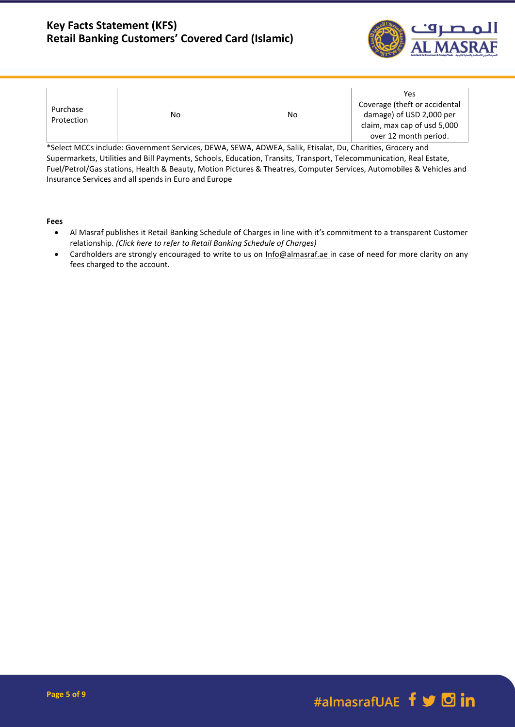## **Key Facts Statement (KFS) Retail Banking Customers' Covered Card (Islamic)**



| Purchase<br>Protection | No | No | Yes<br>Coverage (theft or accidental<br>damage) of USD 2,000 per<br>claim, max cap of usd 5,000<br>over 12 month period. |
|------------------------|----|----|--------------------------------------------------------------------------------------------------------------------------|
|------------------------|----|----|--------------------------------------------------------------------------------------------------------------------------|

\*Select MCCs include: Government Services, DEWA, SEWA, ADWEA, Salik, Etisalat, Du, Charities, Grocery and Supermarkets, Utilities and Bill Payments, Schools, Education, Transits, Transport, Telecommunication, Real Estate, Fuel/Petrol/Gas stations, Health & Beauty, Motion Pictures & Theatres, Computer Services, Automobiles & Vehicles and Insurance Services and all spends in Euro and Europe

**Fees**

- Al Masraf publishes it Retail Banking Schedule of Charges in line with it's commitment to a transparent Customer relationship. *(Click here to refer to Retail Banking Schedule of Charges)*
- Cardholders are strongly encouraged to write to us on [Info@almasraf.ae](mailto:Info@almasraf.ae) in case of need for more clarity on any fees charged to the account.

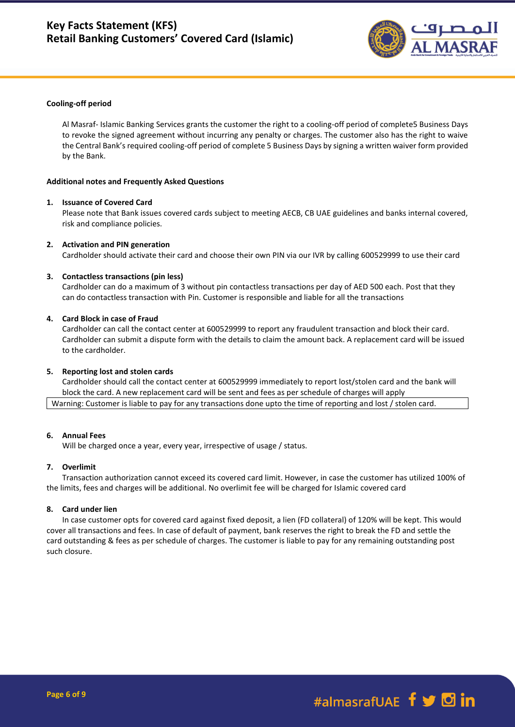

#### **Cooling-off period**

Al Masraf- Islamic Banking Services grants the customer the right to a cooling-off period of complete5 Business Days to revoke the signed agreement without incurring any penalty or charges. The customer also has the right to waive the Central Bank's required cooling-off period of complete 5 Business Days by signing a written waiver form provided by the Bank.

#### **Additional notes and Frequently Asked Questions**

## **1. Issuance of Covered Card**

Please note that Bank issues covered cards subject to meeting AECB, CB UAE guidelines and banks internal covered, risk and compliance policies.

#### **2. Activation and PIN generation**

Cardholder should activate their card and choose their own PIN via our IVR by calling 600529999 to use their card

#### **3. Contactless transactions (pin less)**

Cardholder can do a maximum of 3 without pin contactless transactions per day of AED 500 each. Post that they can do contactless transaction with Pin. Customer is responsible and liable for all the transactions

#### **4. Card Block in case of Fraud**

Cardholder can call the contact center at 600529999 to report any fraudulent transaction and block their card. Cardholder can submit a dispute form with the details to claim the amount back. A replacement card will be issued to the cardholder.

#### **5. Reporting lost and stolen cards**

Cardholder should call the contact center at 600529999 immediately to report lost/stolen card and the bank will block the card. A new replacement card will be sent and fees as per schedule of charges will apply Warning: Customer is liable to pay for any transactions done upto the time of reporting and lost / stolen card.

#### **6. Annual Fees**

Will be charged once a year, every year, irrespective of usage / status.

#### **7. Overlimit**

Transaction authorization cannot exceed its covered card limit. However, in case the customer has utilized 100% of the limits, fees and charges will be additional. No overlimit fee will be charged for Islamic covered card

#### **8. Card under lien**

In case customer opts for covered card against fixed deposit, a lien (FD collateral) of 120% will be kept. This would cover all transactions and fees. In case of default of payment, bank reserves the right to break the FD and settle the card outstanding & fees as per schedule of charges. The customer is liable to pay for any remaining outstanding post such closure.

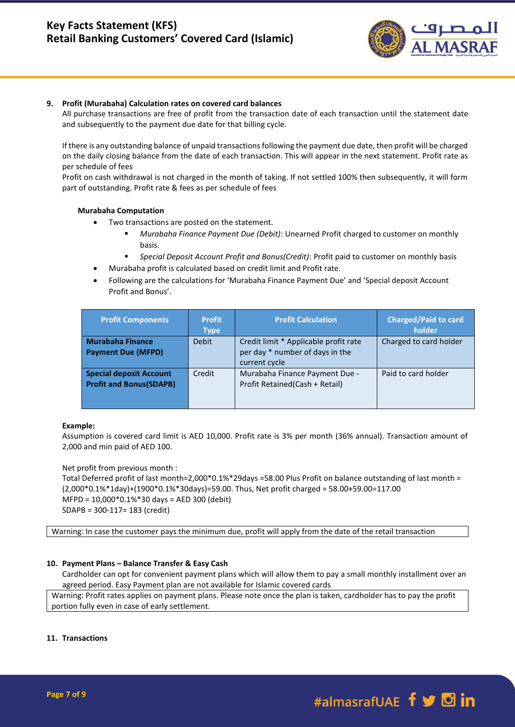

## **9. Profit (Murabaha) Calculation rates on covered card balances**

All purchase transactions are free of profit from the transaction date of each transaction until the statement date and subsequently to the payment due date for that billing cycle.

If there is any outstanding balance of unpaid transactions following the payment due date, then profit will be charged on the daily closing balance from the date of each transaction. This will appear in the next statement. Profit rate as per schedule of fees

Profit on cash withdrawal is not charged in the month of taking. If not settled 100% then subsequently, it will form part of outstanding. Profit rate & fees as per schedule of fees

## **Murabaha Computation**

- Two transactions are posted on the statement.
	- *Murabaha Finance Payment Due (Debit)*: Unearned Profit charged to customer on monthly basis.
	- *Special Deposit Account Profit and Bonus(Credit)*: Profit paid to customer on monthly basis
	- Murabaha profit is calculated based on credit limit and Profit rate.
- Following are the calculations for 'Murabaha Finance Payment Due' and 'Special deposit Account Profit and Bonus'.

| <b>Profit Components</b>                                          | <b>Profit</b><br><b>Type</b> | <b>Profit Calculation</b>                                                                 | <b>Charged/Paid to card</b><br>holder |
|-------------------------------------------------------------------|------------------------------|-------------------------------------------------------------------------------------------|---------------------------------------|
| <b>Murabaha Finance</b><br><b>Payment Due (MFPD)</b>              | <b>Debit</b>                 | Credit limit * Applicable profit rate<br>per day * number of days in the<br>current cycle | Charged to card holder                |
| <b>Special deposit Account</b><br><b>Profit and Bonus (SDAPB)</b> | Credit                       | Murabaha Finance Payment Due -<br>Profit Retained (Cash + Retail)                         | Paid to card holder                   |

## **Example:**

Assumption is covered card limit is AED 10,000. Profit rate is 3% per month (36% annual). Transaction amount of 2,000 and min paid of AED 100.

Net profit from previous month :

Total Deferred profit of last month=2,000\*0.1%\*29days =58.00 Plus Profit on balance outstanding of last month = (2,000\*0.1%\*1day)+(1900\*0.1%\*30days)=59.00. Thus, Net profit charged = 58.00+59.00=117.00 MFPD = 10,000\*0.1%\*30 days = AED 300 (debit) SDAPB = 300-117= 183 (credit)

Warning: In case the customer pays the minimum due, profit will apply from the date of the retail transaction

## **10. Payment Plans – Balance Transfer & Easy Cash**

Cardholder can opt for convenient payment plans which will allow them to pay a small monthly installment over an agreed period. Easy Payment plan are not available for Islamic covered cards

Warning: Profit rates applies on payment plans. Please note once the plan is taken, cardholder has to pay the profit portion fully even in case of early settlement.

## **11. Transactions**

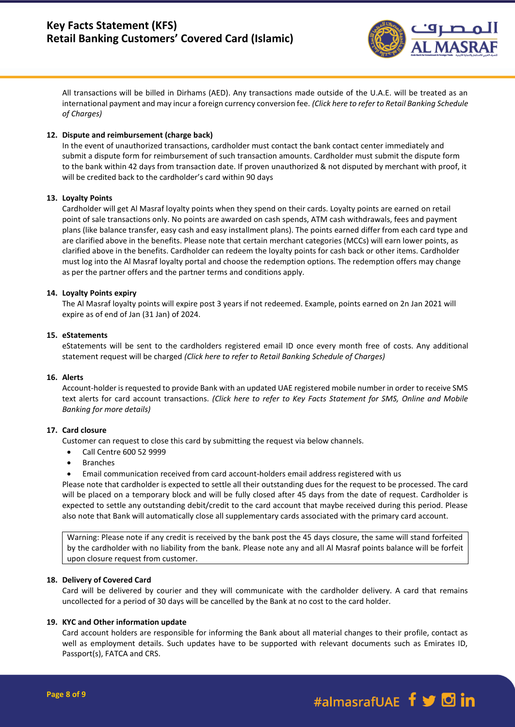

All transactions will be billed in Dirhams (AED). Any transactions made outside of the U.A.E. will be treated as an international payment and may incur a foreign currency conversion fee. *(Click here to refer to Retail Banking Schedule of Charges)*

## **12. Dispute and reimbursement (charge back)**

In the event of unauthorized transactions, cardholder must contact the bank contact center immediately and submit a dispute form for reimbursement of such transaction amounts. Cardholder must submit the dispute form to the bank within 42 days from transaction date. If proven unauthorized & not disputed by merchant with proof, it will be credited back to the cardholder's card within 90 days

## **13. Loyalty Points**

Cardholder will get Al Masraf loyalty points when they spend on their cards. Loyalty points are earned on retail point of sale transactions only. No points are awarded on cash spends, ATM cash withdrawals, fees and payment plans (like balance transfer, easy cash and easy installment plans). The points earned differ from each card type and are clarified above in the benefits. Please note that certain merchant categories (MCCs) will earn lower points, as clarified above in the benefits. Cardholder can redeem the loyalty points for cash back or other items. Cardholder must log into the Al Masraf loyalty portal and choose the redemption options. The redemption offers may change as per the partner offers and the partner terms and conditions apply.

## **14. Loyalty Points expiry**

The Al Masraf loyalty points will expire post 3 years if not redeemed. Example, points earned on 2n Jan 2021 will expire as of end of Jan (31 Jan) of 2024.

## **15. eStatements**

eStatements will be sent to the cardholders registered email ID once every month free of costs. Any additional statement request will be charged *(Click here to refer to Retail Banking Schedule of Charges)*

## **16. Alerts**

Account-holder is requested to provide Bank with an updated UAE registered mobile number in order to receive SMS text alerts for card account transactions. *(Click here to refer to Key Facts Statement for SMS, Online and Mobile Banking for more details)*

## **17. Card closure**

Customer can request to close this card by submitting the request via below channels.

- Call Centre 600 52 9999
- **Branches**
- Email communication received from card account-holders email address registered with us

Please note that cardholder is expected to settle all their outstanding dues for the request to be processed. The card will be placed on a temporary block and will be fully closed after 45 days from the date of request. Cardholder is expected to settle any outstanding debit/credit to the card account that maybe received during this period. Please also note that Bank will automatically close all supplementary cards associated with the primary card account.

Warning: Please note if any credit is received by the bank post the 45 days closure, the same will stand forfeited by the cardholder with no liability from the bank. Please note any and all Al Masraf points balance will be forfeit upon closure request from customer.

## **18. Delivery of Covered Card**

Card will be delivered by courier and they will communicate with the cardholder delivery. A card that remains uncollected for a period of 30 days will be cancelled by the Bank at no cost to the card holder.

## **19. KYC and Other information update**

Card account holders are responsible for informing the Bank about all material changes to their profile, contact as well as employment details. Such updates have to be supported with relevant documents such as Emirates ID, Passport(s), FATCA and CRS.